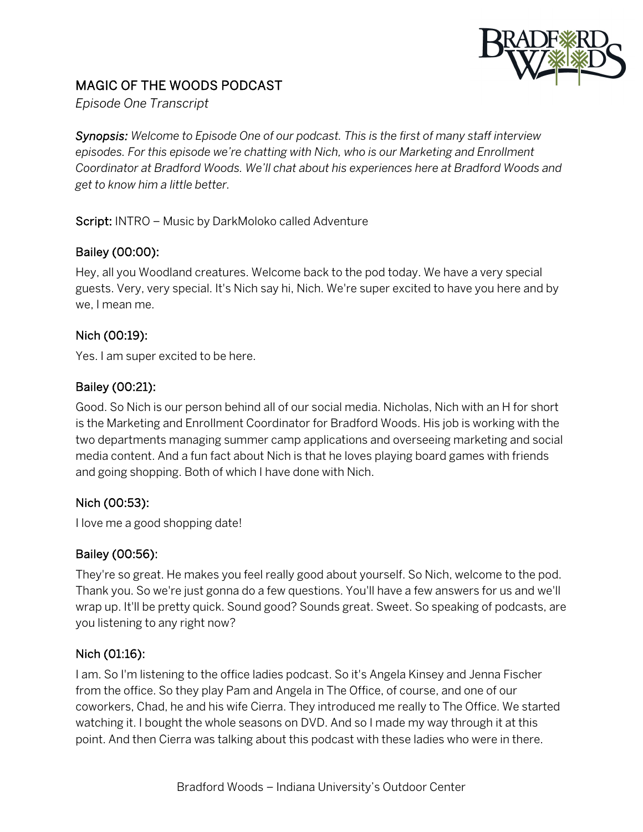

# MAGIC OF THE WOODS PODCAST

*Episode One Transcript*

*Synopsis: Welcome to Episode One of our podcast. This is the first of many staff interview episodes. For this episode we're chatting with Nich, who is our Marketing and Enrollment Coordinator at Bradford Woods. We'll chat about his experiences here at Bradford Woods and get to know him a little better.*

#### Script: INTRO – Music by DarkMoloko called Adventure

### Bailey (00:00):

Hey, all you Woodland creatures. Welcome back to the pod today. We have a very special guests. Very, very special. It's Nich say hi, Nich. We're super excited to have you here and by we, I mean me.

#### Nich (00:19):

Yes. I am super excited to be here.

#### Bailey (00:21):

Good. So Nich is our person behind all of our social media. Nicholas, Nich with an H for short is the Marketing and Enrollment Coordinator for Bradford Woods. His job is working with the two departments managing summer camp applications and overseeing marketing and social media content. And a fun fact about Nich is that he loves playing board games with friends and going shopping. Both of which I have done with Nich.

### Nich (00:53):

I love me a good shopping date!

#### Bailey (00:56):

They're so great. He makes you feel really good about yourself. So Nich, welcome to the pod. Thank you. So we're just gonna do a few questions. You'll have a few answers for us and we'll wrap up. It'll be pretty quick. Sound good? Sounds great. Sweet. So speaking of podcasts, are you listening to any right now?

#### Nich (01:16):

I am. So I'm listening to the office ladies podcast. So it's Angela Kinsey and Jenna Fischer from the office. So they play Pam and Angela in The Office, of course, and one of our coworkers, Chad, he and his wife Cierra. They introduced me really to The Office. We started watching it. I bought the whole seasons on DVD. And so I made my way through it at this point. And then Cierra was talking about this podcast with these ladies who were in there.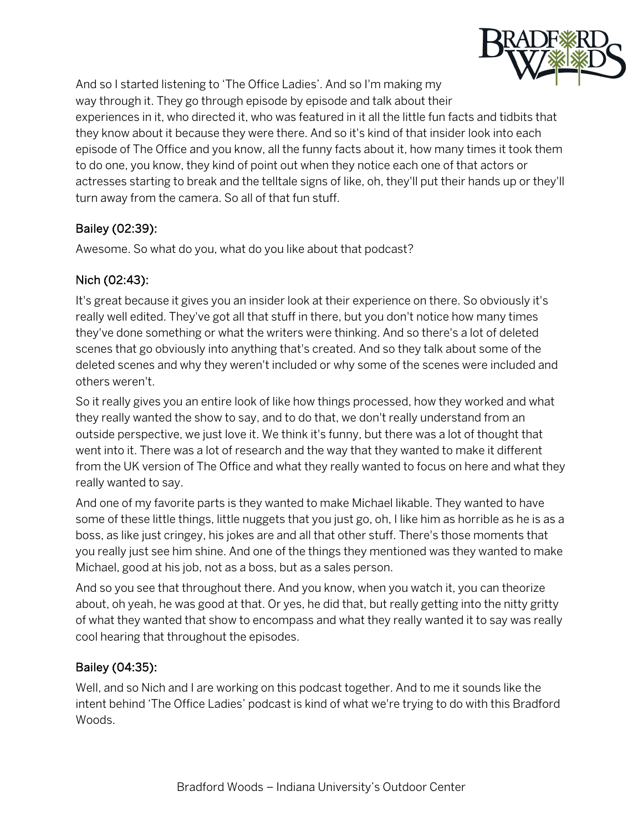

And so I started listening to 'The Office Ladies'. And so I'm making my way through it. They go through episode by episode and talk about their experiences in it, who directed it, who was featured in it all the little fun facts and tidbits that they know about it because they were there. And so it's kind of that insider look into each episode of The Office and you know, all the funny facts about it, how many times it took them to do one, you know, they kind of point out when they notice each one of that actors or actresses starting to break and the telltale signs of like, oh, they'll put their hands up or they'll turn away from the camera. So all of that fun stuff.

### Bailey (02:39):

Awesome. So what do you, what do you like about that podcast?

### Nich (02:43):

It's great because it gives you an insider look at their experience on there. So obviously it's really well edited. They've got all that stuff in there, but you don't notice how many times they've done something or what the writers were thinking. And so there's a lot of deleted scenes that go obviously into anything that's created. And so they talk about some of the deleted scenes and why they weren't included or why some of the scenes were included and others weren't.

So it really gives you an entire look of like how things processed, how they worked and what they really wanted the show to say, and to do that, we don't really understand from an outside perspective, we just love it. We think it's funny, but there was a lot of thought that went into it. There was a lot of research and the way that they wanted to make it different from the UK version of The Office and what they really wanted to focus on here and what they really wanted to say.

And one of my favorite parts is they wanted to make Michael likable. They wanted to have some of these little things, little nuggets that you just go, oh, I like him as horrible as he is as a boss, as like just cringey, his jokes are and all that other stuff. There's those moments that you really just see him shine. And one of the things they mentioned was they wanted to make Michael, good at his job, not as a boss, but as a sales person.

And so you see that throughout there. And you know, when you watch it, you can theorize about, oh yeah, he was good at that. Or yes, he did that, but really getting into the nitty gritty of what they wanted that show to encompass and what they really wanted it to say was really cool hearing that throughout the episodes.

### Bailey (04:35):

Well, and so Nich and I are working on this podcast together. And to me it sounds like the intent behind 'The Office Ladies' podcast is kind of what we're trying to do with this Bradford Woods.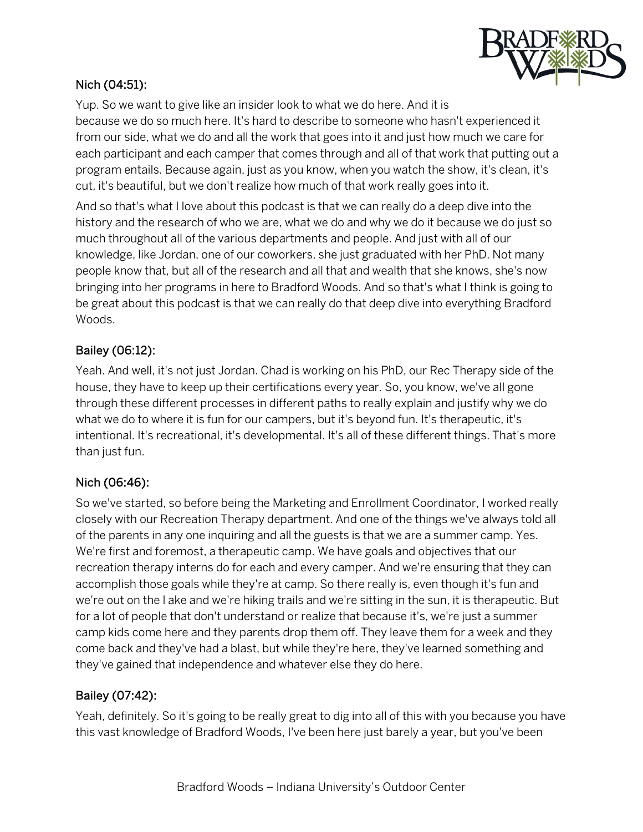

#### Nich (04:51):

Yup. So we want to give like an insider look to what we do here. And it is because we do so much here. It's hard to describe to someone who hasn't experienced it from our side, what we do and all the work that goes into it and just how much we care for each participant and each camper that comes through and all of that work that putting out a program entails. Because again, just as you know, when you watch the show, it's clean, it's cut, it's beautiful, but we don't realize how much of that work really goes into it.

And so that's what I love about this podcast is that we can really do a deep dive into the history and the research of who we are, what we do and why we do it because we do just so much throughout all of the various departments and people. And just with all of our knowledge, like Jordan, one of our coworkers, she just graduated with her PhD. Not many people know that, but all of the research and all that and wealth that she knows, she's now bringing into her programs in here to Bradford Woods. And so that's what I think is going to be great about this podcast is that we can really do that deep dive into everything Bradford Woods.

#### Bailey (06:12):

Yeah. And well, it's not just Jordan. Chad is working on his PhD, our Rec Therapy side of the house, they have to keep up their certifications every year. So, you know, we've all gone through these different processes in different paths to really explain and justify why we do what we do to where it is fun for our campers, but it's beyond fun. It's therapeutic, it's intentional. It's recreational, it's developmental. It's all of these different things. That's more than just fun.

### Nich (06:46):

So we've started, so before being the Marketing and Enrollment Coordinator, I worked really closely with our Recreation Therapy department. And one of the things we've always told all of the parents in any one inquiring and all the guests is that we are a summer camp. Yes. We're first and foremost, a therapeutic camp. We have goals and objectives that our recreation therapy interns do for each and every camper. And we're ensuring that they can accomplish those goals while they're at camp. So there really is, even though it's fun and we're out on the l ake and we're hiking trails and we're sitting in the sun, it is therapeutic. But for a lot of people that don't understand or realize that because it's, we're just a summer camp kids come here and they parents drop them off. They leave them for a week and they come back and they've had a blast, but while they're here, they've learned something and they've gained that independence and whatever else they do here.

#### Bailey (07:42):

Yeah, definitely. So it's going to be really great to dig into all of this with you because you have this vast knowledge of Bradford Woods, I've been here just barely a year, but you've been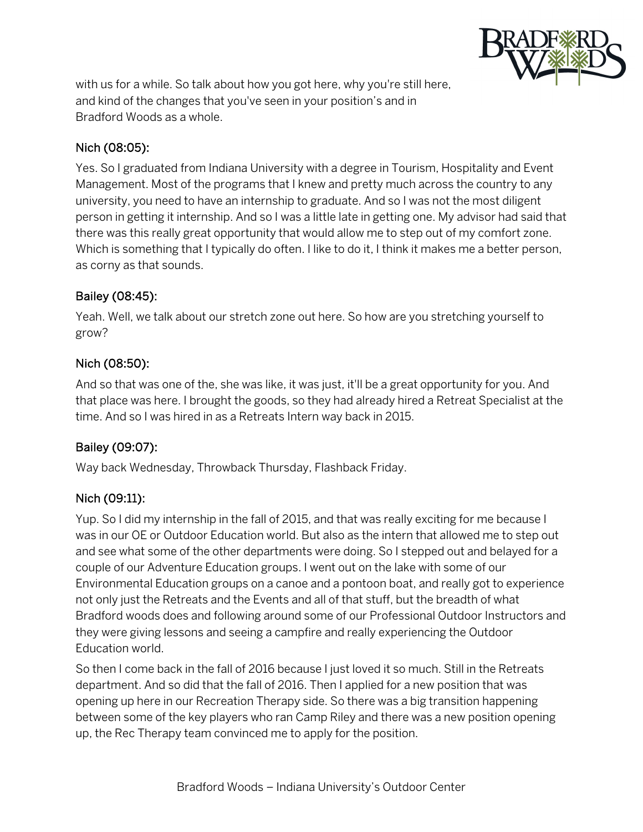

with us for a while. So talk about how you got here, why you're still here, and kind of the changes that you've seen in your position's and in Bradford Woods as a whole.

#### Nich (08:05):

Yes. So I graduated from Indiana University with a degree in Tourism, Hospitality and Event Management. Most of the programs that I knew and pretty much across the country to any university, you need to have an internship to graduate. And so I was not the most diligent person in getting it internship. And so I was a little late in getting one. My advisor had said that there was this really great opportunity that would allow me to step out of my comfort zone. Which is something that I typically do often. I like to do it, I think it makes me a better person, as corny as that sounds.

#### Bailey (08:45):

Yeah. Well, we talk about our stretch zone out here. So how are you stretching yourself to grow?

#### Nich (08:50):

And so that was one of the, she was like, it was just, it'll be a great opportunity for you. And that place was here. I brought the goods, so they had already hired a Retreat Specialist at the time. And so I was hired in as a Retreats Intern way back in 2015.

### Bailey (09:07):

Way back Wednesday, Throwback Thursday, Flashback Friday.

#### Nich (09:11):

Yup. So I did my internship in the fall of 2015, and that was really exciting for me because I was in our OE or Outdoor Education world. But also as the intern that allowed me to step out and see what some of the other departments were doing. So I stepped out and belayed for a couple of our Adventure Education groups. I went out on the lake with some of our Environmental Education groups on a canoe and a pontoon boat, and really got to experience not only just the Retreats and the Events and all of that stuff, but the breadth of what Bradford woods does and following around some of our Professional Outdoor Instructors and they were giving lessons and seeing a campfire and really experiencing the Outdoor Education world.

So then I come back in the fall of 2016 because I just loved it so much. Still in the Retreats department. And so did that the fall of 2016. Then I applied for a new position that was opening up here in our Recreation Therapy side. So there was a big transition happening between some of the key players who ran Camp Riley and there was a new position opening up, the Rec Therapy team convinced me to apply for the position.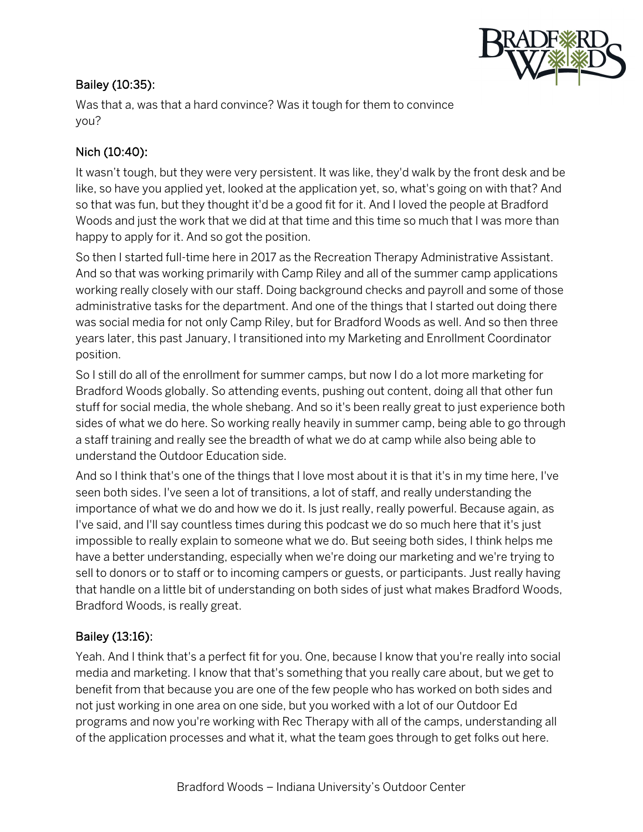### Bailey (10:35):



Was that a, was that a hard convince? Was it tough for them to convince you?

## Nich (10:40):

It wasn't tough, but they were very persistent. It was like, they'd walk by the front desk and be like, so have you applied yet, looked at the application yet, so, what's going on with that? And so that was fun, but they thought it'd be a good fit for it. And I loved the people at Bradford Woods and just the work that we did at that time and this time so much that I was more than happy to apply for it. And so got the position.

So then I started full-time here in 2017 as the Recreation Therapy Administrative Assistant. And so that was working primarily with Camp Riley and all of the summer camp applications working really closely with our staff. Doing background checks and payroll and some of those administrative tasks for the department. And one of the things that I started out doing there was social media for not only Camp Riley, but for Bradford Woods as well. And so then three years later, this past January, I transitioned into my Marketing and Enrollment Coordinator position.

So I still do all of the enrollment for summer camps, but now I do a lot more marketing for Bradford Woods globally. So attending events, pushing out content, doing all that other fun stuff for social media, the whole shebang. And so it's been really great to just experience both sides of what we do here. So working really heavily in summer camp, being able to go through a staff training and really see the breadth of what we do at camp while also being able to understand the Outdoor Education side.

And so I think that's one of the things that I love most about it is that it's in my time here, I've seen both sides. I've seen a lot of transitions, a lot of staff, and really understanding the importance of what we do and how we do it. Is just really, really powerful. Because again, as I've said, and I'll say countless times during this podcast we do so much here that it's just impossible to really explain to someone what we do. But seeing both sides, I think helps me have a better understanding, especially when we're doing our marketing and we're trying to sell to donors or to staff or to incoming campers or guests, or participants. Just really having that handle on a little bit of understanding on both sides of just what makes Bradford Woods, Bradford Woods, is really great.

### Bailey (13:16):

Yeah. And I think that's a perfect fit for you. One, because I know that you're really into social media and marketing. I know that that's something that you really care about, but we get to benefit from that because you are one of the few people who has worked on both sides and not just working in one area on one side, but you worked with a lot of our Outdoor Ed programs and now you're working with Rec Therapy with all of the camps, understanding all of the application processes and what it, what the team goes through to get folks out here.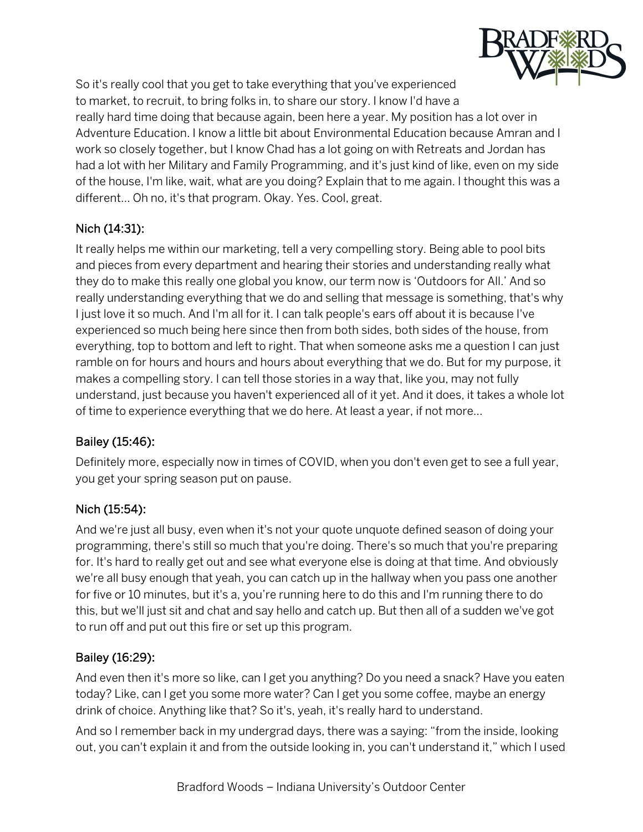

So it's really cool that you get to take everything that you've experienced to market, to recruit, to bring folks in, to share our story. I know I'd have a really hard time doing that because again, been here a year. My position has a lot over in Adventure Education. I know a little bit about Environmental Education because Amran and I work so closely together, but I know Chad has a lot going on with Retreats and Jordan has had a lot with her Military and Family Programming, and it's just kind of like, even on my side of the house, I'm like, wait, what are you doing? Explain that to me again. I thought this was a different… Oh no, it's that program. Okay. Yes. Cool, great.

# Nich (14:31):

It really helps me within our marketing, tell a very compelling story. Being able to pool bits and pieces from every department and hearing their stories and understanding really what they do to make this really one global you know, our term now is 'Outdoors for All.' And so really understanding everything that we do and selling that message is something, that's why I just love it so much. And I'm all for it. I can talk people's ears off about it is because I've experienced so much being here since then from both sides, both sides of the house, from everything, top to bottom and left to right. That when someone asks me a question I can just ramble on for hours and hours and hours about everything that we do. But for my purpose, it makes a compelling story. I can tell those stories in a way that, like you, may not fully understand, just because you haven't experienced all of it yet. And it does, it takes a whole lot of time to experience everything that we do here. At least a year, if not more…

### Bailey (15:46):

Definitely more, especially now in times of COVID, when you don't even get to see a full year, you get your spring season put on pause.

#### Nich (15:54):

And we're just all busy, even when it's not your quote unquote defined season of doing your programming, there's still so much that you're doing. There's so much that you're preparing for. It's hard to really get out and see what everyone else is doing at that time. And obviously we're all busy enough that yeah, you can catch up in the hallway when you pass one another for five or 10 minutes, but it's a, you're running here to do this and I'm running there to do this, but we'll just sit and chat and say hello and catch up. But then all of a sudden we've got to run off and put out this fire or set up this program.

### Bailey (16:29):

And even then it's more so like, can I get you anything? Do you need a snack? Have you eaten today? Like, can I get you some more water? Can I get you some coffee, maybe an energy drink of choice. Anything like that? So it's, yeah, it's really hard to understand.

And so I remember back in my undergrad days, there was a saying: "from the inside, looking out, you can't explain it and from the outside looking in, you can't understand it," which I used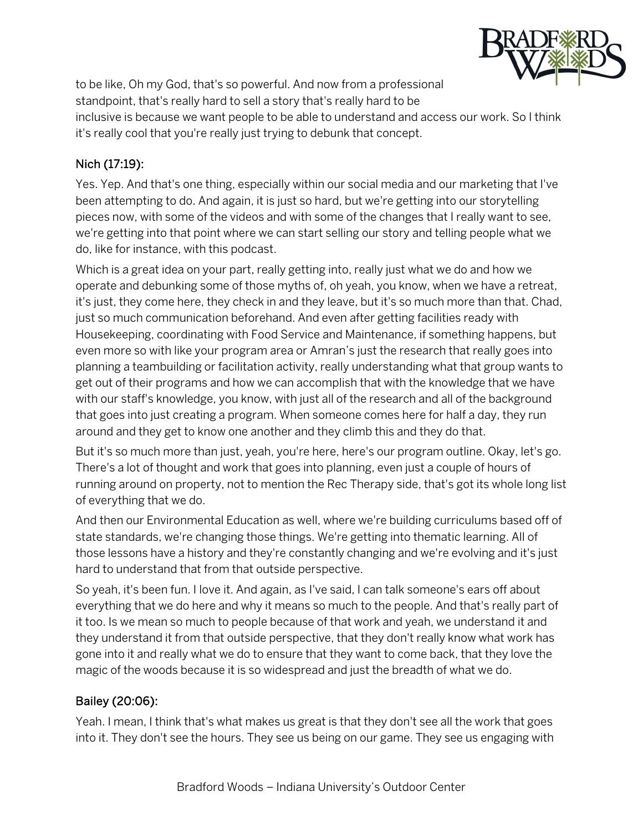

to be like, Oh my God, that's so powerful. And now from a professional standpoint, that's really hard to sell a story that's really hard to be inclusive is because we want people to be able to understand and access our work. So I think it's really cool that you're really just trying to debunk that concept.

### Nich (17:19):

Yes. Yep. And that's one thing, especially within our social media and our marketing that I've been attempting to do. And again, it is just so hard, but we're getting into our storytelling pieces now, with some of the videos and with some of the changes that I really want to see, we're getting into that point where we can start selling our story and telling people what we do, like for instance, with this podcast.

Which is a great idea on your part, really getting into, really just what we do and how we operate and debunking some of those myths of, oh yeah, you know, when we have a retreat, it's just, they come here, they check in and they leave, but it's so much more than that. Chad, just so much communication beforehand. And even after getting facilities ready with Housekeeping, coordinating with Food Service and Maintenance, if something happens, but even more so with like your program area or Amran's just the research that really goes into planning a teambuilding or facilitation activity, really understanding what that group wants to get out of their programs and how we can accomplish that with the knowledge that we have with our staff's knowledge, you know, with just all of the research and all of the background that goes into just creating a program. When someone comes here for half a day, they run around and they get to know one another and they climb this and they do that.

But it's so much more than just, yeah, you're here, here's our program outline. Okay, let's go. There's a lot of thought and work that goes into planning, even just a couple of hours of running around on property, not to mention the Rec Therapy side, that's got its whole long list of everything that we do.

And then our Environmental Education as well, where we're building curriculums based off of state standards, we're changing those things. We're getting into thematic learning. All of those lessons have a history and they're constantly changing and we're evolving and it's just hard to understand that from that outside perspective.

So yeah, it's been fun. I love it. And again, as I've said, I can talk someone's ears off about everything that we do here and why it means so much to the people. And that's really part of it too. Is we mean so much to people because of that work and yeah, we understand it and they understand it from that outside perspective, that they don't really know what work has gone into it and really what we do to ensure that they want to come back, that they love the magic of the woods because it is so widespread and just the breadth of what we do.

#### Bailey (20:06):

Yeah. I mean, I think that's what makes us great is that they don't see all the work that goes into it. They don't see the hours. They see us being on our game. They see us engaging with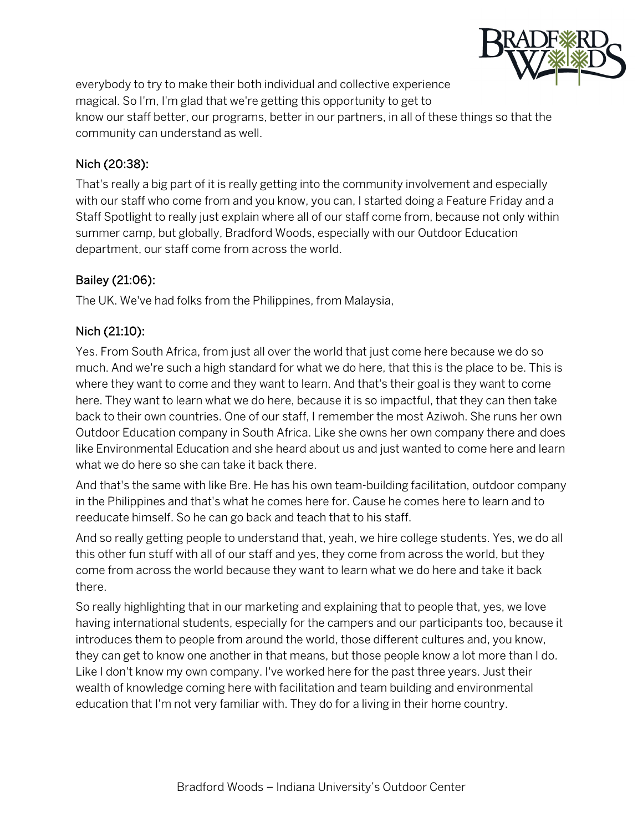

everybody to try to make their both individual and collective experience magical. So I'm, I'm glad that we're getting this opportunity to get to know our staff better, our programs, better in our partners, in all of these things so that the community can understand as well.

#### Nich (20:38):

That's really a big part of it is really getting into the community involvement and especially with our staff who come from and you know, you can, I started doing a Feature Friday and a Staff Spotlight to really just explain where all of our staff come from, because not only within summer camp, but globally, Bradford Woods, especially with our Outdoor Education department, our staff come from across the world.

#### Bailey (21:06):

The UK. We've had folks from the Philippines, from Malaysia,

### Nich (21:10):

Yes. From South Africa, from just all over the world that just come here because we do so much. And we're such a high standard for what we do here, that this is the place to be. This is where they want to come and they want to learn. And that's their goal is they want to come here. They want to learn what we do here, because it is so impactful, that they can then take back to their own countries. One of our staff, I remember the most Aziwoh. She runs her own Outdoor Education company in South Africa. Like she owns her own company there and does like Environmental Education and she heard about us and just wanted to come here and learn what we do here so she can take it back there.

And that's the same with like Bre. He has his own team-building facilitation, outdoor company in the Philippines and that's what he comes here for. Cause he comes here to learn and to reeducate himself. So he can go back and teach that to his staff.

And so really getting people to understand that, yeah, we hire college students. Yes, we do all this other fun stuff with all of our staff and yes, they come from across the world, but they come from across the world because they want to learn what we do here and take it back there.

So really highlighting that in our marketing and explaining that to people that, yes, we love having international students, especially for the campers and our participants too, because it introduces them to people from around the world, those different cultures and, you know, they can get to know one another in that means, but those people know a lot more than I do. Like I don't know my own company. I've worked here for the past three years. Just their wealth of knowledge coming here with facilitation and team building and environmental education that I'm not very familiar with. They do for a living in their home country.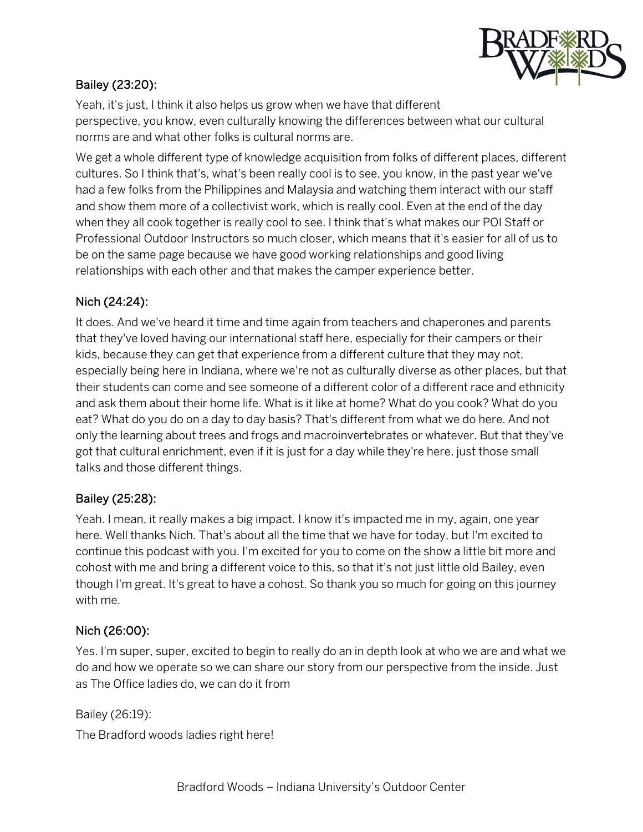

### Bailey (23:20):

Yeah, it's just, I think it also helps us grow when we have that different perspective, you know, even culturally knowing the differences between what our cultural norms are and what other folks is cultural norms are.

We get a whole different type of knowledge acquisition from folks of different places, different cultures. So I think that's, what's been really cool is to see, you know, in the past year we've had a few folks from the Philippines and Malaysia and watching them interact with our staff and show them more of a collectivist work, which is really cool. Even at the end of the day when they all cook together is really cool to see. I think that's what makes our POI Staff or Professional Outdoor Instructors so much closer, which means that it's easier for all of us to be on the same page because we have good working relationships and good living relationships with each other and that makes the camper experience better.

#### Nich (24:24):

It does. And we've heard it time and time again from teachers and chaperones and parents that they've loved having our international staff here, especially for their campers or their kids, because they can get that experience from a different culture that they may not, especially being here in Indiana, where we're not as culturally diverse as other places, but that their students can come and see someone of a different color of a different race and ethnicity and ask them about their home life. What is it like at home? What do you cook? What do you eat? What do you do on a day to day basis? That's different from what we do here. And not only the learning about trees and frogs and macroinvertebrates or whatever. But that they've got that cultural enrichment, even if it is just for a day while they're here, just those small talks and those different things.

#### Bailey (25:28):

Yeah. I mean, it really makes a big impact. I know it's impacted me in my, again, one year here. Well thanks Nich. That's about all the time that we have for today, but I'm excited to continue this podcast with you. I'm excited for you to come on the show a little bit more and cohost with me and bring a different voice to this, so that it's not just little old Bailey, even though I'm great. It's great to have a cohost. So thank you so much for going on this journey with me.

#### Nich (26:00):

Yes. I'm super, super, excited to begin to really do an in depth look at who we are and what we do and how we operate so we can share our story from our perspective from the inside. Just as The Office ladies do, we can do it from

Bailey (26:19):

The Bradford woods ladies right here!